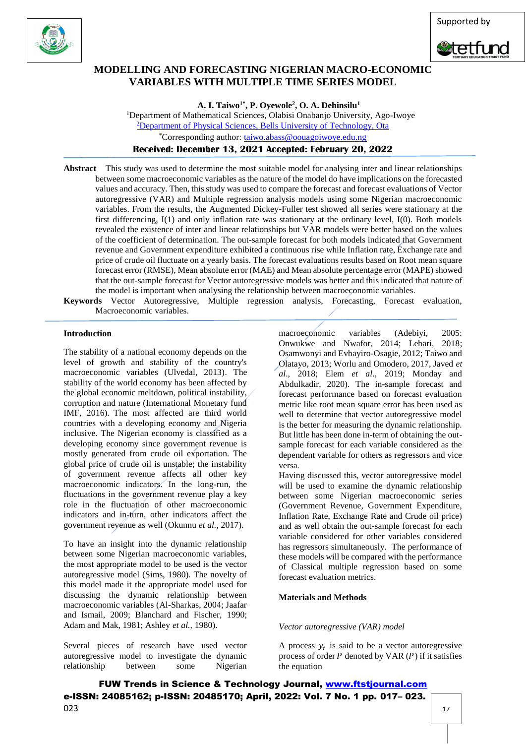



# **MODELLING AND FORECASTING NIGERIAN MACRO-ECONOMIC VARIABLES WITH MULTIPLE TIME SERIES MODEL**

**A. I. Taiwo1\*, P. Oyewole<sup>2</sup> , O. A. Dehinsilu<sup>1</sup>**

<sup>1</sup>Department of Mathematical Sciences, Olabisi Onabanjo University, Ago-Iwoye <sup>2</sup>Department of Physical Sciences, Bells University of Technology, Ota \*Corresponding author: [taiwo.abass@oouagoiwoye.edu.ng](mailto:taiwo.abass@oouagoiwoye.edu.ng)

**Received: December 13, 2021 Accepted: February 20, 2022**

**Abstract** This study was used to determine the most suitable model for analysing inter and linear relationships between some macroeconomic variables as the nature of the model do have implications on the forecasted values and accuracy. Then, this study was used to compare the forecast and forecast evaluations of Vector autoregressive (VAR) and Multiple regression analysis models using some Nigerian macroeconomic variables. From the results, the Augmented Dickey-Fuller test showed all series were stationary at the first differencing, I(1) and only inflation rate was stationary at the ordinary level, I(0). Both models revealed the existence of inter and linear relationships but VAR models were better based on the values of the coefficient of determination. The out-sample forecast for both models indicated that Government revenue and Government expenditure exhibited a continuous rise while Inflation rate, Exchange rate and price of crude oil fluctuate on a yearly basis. The forecast evaluations results based on Root mean square forecast error (RMSE), Mean absolute error (MAE) and Mean absolute percentage error (MAPE) showed that the out-sample forecast for Vector autoregressive models was better and this indicated that nature of the model is important when analysing the relationship between macroeconomic variables.

**Keywords** Vector Autoregressive, Multiple regression analysis, Forecasting, Forecast evaluation, Macroeconomic variables.

# **Introduction**

The stability of a national economy depends on the level of growth and stability of the country's macroeconomic variables (Ulvedal, 2013). The stability of the world economy has been affected by the global economic meltdown, political instability, corruption and nature (International Monetary fund IMF, 2016). The most affected are third world countries with a developing economy and Nigeria inclusive. The Nigerian economy is classified as a developing economy since government revenue is mostly generated from crude oil exportation. The global price of crude oil is unstable; the instability of government revenue affects all other key macroeconomic indicators. In the long-run, the fluctuations in the government revenue play a key role in the fluctuation of other macroeconomic indicators and in-turn, other indicators affect the government revenue as well (Okunnu *et al.,* 2017).

To have an insight into the dynamic relationship between some Nigerian macroeconomic variables, the most appropriate model to be used is the vector autoregressive model (Sims, 1980). The novelty of this model made it the appropriate model used for discussing the dynamic relationship between macroeconomic variables (Al-Sharkas, 2004; Jaafar and Ismail, 2009; Blanchard and Fischer, 1990; Adam and Mak, 1981; Ashley *et al.,* 1980).

Several pieces of research have used vector autoregressive model to investigate the dynamic relationship between some Nigerian macroeconomic variables (Adebiyi, 2005: Onwukwe and Nwafor, 2014; Lebari, 2018; Osamwonyi and Evbayiro-Osagie, 2012; Taiwo and Olatayo, 2013; Worlu and Omodero, 2017, Javed *et al*., 2018; Elem *et al*., 2019; Monday and Abdulkadir, 2020). The in-sample forecast and forecast performance based on forecast evaluation metric like root mean square error has been used as well to determine that vector autoregressive model is the better for measuring the dynamic relationship. But little has been done in-term of obtaining the outsample forecast for each variable considered as the dependent variable for others as regressors and vice versa.

Having discussed this, vector autoregressive model will be used to examine the dynamic relationship between some Nigerian macroeconomic series (Government Revenue, Government Expenditure, Inflation Rate, Exchange Rate and Crude oil price) and as well obtain the out-sample forecast for each variable considered for other variables considered has regressors simultaneously. The performance of these models will be compared with the performance of Classical multiple regression based on some forecast evaluation metrics.

# **Materials and Methods**

# *Vector autoregressive (VAR) model*

A process  $y_t$  is said to be a vector autoregressive process of order  $P$  denoted by VAR ( $P$ ) if it satisfies the equation

FUW Trends in Science & Technology Journal, [www.ftstjournal.com](http://www.ftstjournal.com/) e-ISSN: 24085162; p-ISSN: 20485170; April, 2022: Vol. 7 No. 1 pp. 017– 023.  $023$  and  $17$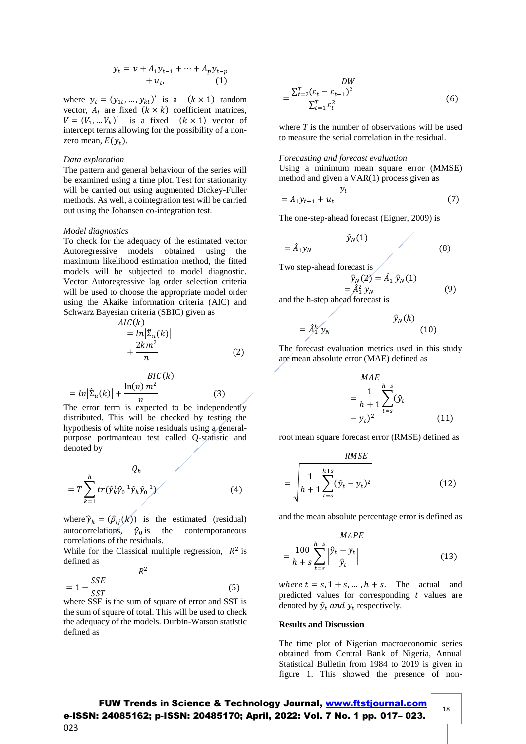$$
y_t = v + A_1 y_{t-1} + \dots + A_p y_{t-p} + u_t,
$$
 (1)

where  $y_t = (y_{1t}, ..., y_{kt})'$  is a  $(k \times 1)$  random vector,  $A_i$  are fixed  $(k \times k)$  coefficient matrices,  $V = (V_1, \dots V_k)'$  is a fixed  $(k \times 1)$  vector of intercept terms allowing for the possibility of a nonzero mean,  $E(y_t)$ .

# *Data exploration*

The pattern and general behaviour of the series will be examined using a time plot. Test for stationarity will be carried out using augmented Dickey-Fuller methods. As well, a cointegration test will be carried out using the Johansen co-integration test.

#### *Model diagnostics*

To check for the adequacy of the estimated vector Autoregressive models obtained using the maximum likelihood estimation method, the fitted models will be subjected to model diagnostic. Vector Autoregressive lag order selection criteria will be used to choose the appropriate model order using the Akaike information criteria (AIC) and Schwarz Bayesian criteria (SBIC) given as

$$
AIC(k)
$$
  
= ln| $\hat{\Sigma}_u(k)$ |  
+  $\frac{2km^2}{n}$  (2)

$$
BIC(k)
$$
  
=  $\ln |\Sigma_u(k)| + \frac{\ln(n) m^2}{n}$  (3)

The error term is expected to be independently distributed. This will be checked by testing the hypothesis of white noise residuals using a generalpurpose portmanteau test called Q-statistic and denoted by

$$
Q_h
$$
  
=  $T \sum_{k=1}^h tr(\hat{\gamma}_k^1 \hat{\gamma}_0^{-1} \hat{\gamma}_k \hat{\gamma}_0^{-1})$  (4)

where  $\hat{\gamma}_k = (\hat{\rho}_{ij}(k))$  is the estimated (residual) autocorrelations,  $\hat{\gamma}_0$  is the contemporaneous correlations of the residuals.

While for the Classical multiple regression,  $R^2$  is defined as

$$
R^{2}
$$
\n
$$
= 1 - \frac{SSE}{SST}
$$
\n(5)

where SSE is the sum of square of error and SST is the sum of square of total. This will be used to check the adequacy of the models. Durbin-Watson statistic defined as

$$
DW = \frac{\sum_{t=2}^{T} (\varepsilon_t - \varepsilon_{t-1})^2}{\sum_{t=1}^{T} \varepsilon_t^2}
$$
 (6)

where *T* is the number of observations will be used to measure the serial correlation in the residual.

## *Forecasting and forecast evaluation*

Using a minimum mean square error (MMSE) method and given a VAR(1) process given as

$$
y_t = A_1 y_{t-1} + u_t
$$
 (7)

The one-step-ahead forecast (Eigner, 2009) is

$$
\hat{y}_N(1)
$$
\n
$$
= \hat{A}_1 y_N \tag{8}
$$

Two step-ahead forecast is

$$
\hat{y}_N(2) = \hat{A}_1 \hat{y}_N(1) \n= \hat{A}_1^2 y_N
$$
\n(9)

and the h-step ahead forecast is

$$
=\hat{A}_1^h y_N \qquad \qquad \hat{y}_N(h) \qquad (10)
$$

The forecast evaluation metrics used in this study are mean absolute error (MAE) defined as

$$
MAE
$$
  
= 
$$
\frac{1}{h+1} \sum_{t=s}^{h+s} (\hat{y}_t - y_t)^2
$$
 (11)

root mean square forecast error (RMSE) defined as

$$
RMSE
$$
  
= 
$$
\sqrt{\frac{1}{h+1} \sum_{t=s}^{h+s} (\hat{y}_t - y_t)^2}
$$
 (12)

and the mean absolute percentage error is defined as

$$
MAPE
$$
  
= 
$$
\frac{100}{h+s} \sum_{t=s}^{h+s} \left| \frac{\hat{y}_t - y_t}{\hat{y}_t} \right|
$$
 (13)

where  $t = s, 1 + s, \dots, h + s$ . The actual and predicted values for corresponding  $t$  values are denoted by  $\hat{y}_t$  and  $y_t$  respectively.

# **Results and Discussion**

The time plot of Nigerian macroeconomic series obtained from Central Bank of Nigeria, Annual Statistical Bulletin from 1984 to 2019 is given in figure 1. This showed the presence of non-

18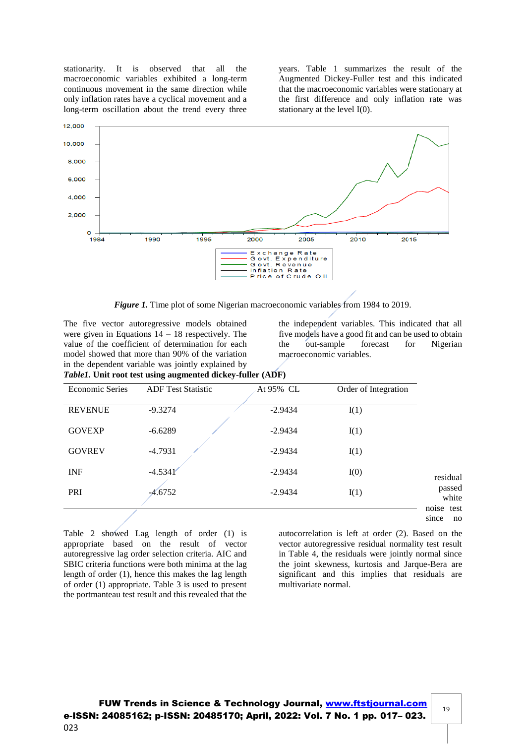stationarity. It is observed that all the macroeconomic variables exhibited a long-term continuous movement in the same direction while only inflation rates have a cyclical movement and a long-term oscillation about the trend every three years. Table 1 summarizes the result of the Augmented Dickey-Fuller test and this indicated that the macroeconomic variables were stationary at the first difference and only inflation rate was stationary at the level I(0).



*Figure 1.* Time plot of some Nigerian macroeconomic variables from 1984 to 2019.

The five vector autoregressive models obtained were given in Equations  $14 - 18$  respectively. The value of the coefficient of determination for each model showed that more than 90% of the variation in the dependent variable was jointly explained by *Table1.* **Unit root test using augmented dickey-fuller (ADF)**

the independent variables. This indicated that all five models have a good fit and can be used to obtain the out-sample forecast for Nigerian macroeconomic variables.

| <b>Economic Series</b> | <b>ADF</b> Test Statistic | At 95% CL | Order of Integration |                     |
|------------------------|---------------------------|-----------|----------------------|---------------------|
| <b>REVENUE</b>         | $-9.3274$                 | $-2.9434$ | I(1)                 |                     |
| <b>GOVEXP</b>          | $-6.6289$                 | $-2.9434$ | I(1)                 |                     |
| <b>GOVREV</b>          | $-4.7931$                 | $-2.9434$ | I(1)                 |                     |
| <b>INF</b>             | $-4.5341'$                | $-2.9434$ | I(0)                 | residual            |
| PRI                    | $-4.6752$                 | $-2.9434$ | I(1)                 | passed              |
|                        |                           |           |                      | noise test<br>since |

Table 2 showed Lag length of order (1) is appropriate based on the result of vector autoregressive lag order selection criteria. AIC and SBIC criteria functions were both minima at the lag length of order (1), hence this makes the lag length of order (1) appropriate. Table 3 is used to present the portmanteau test result and this revealed that the

autocorrelation is left at order (2). Based on the vector autoregressive residual normality test result in Table 4, the residuals were jointly normal since the joint skewness, kurtosis and Jarque-Bera are significant and this implies that residuals are multivariate normal.

19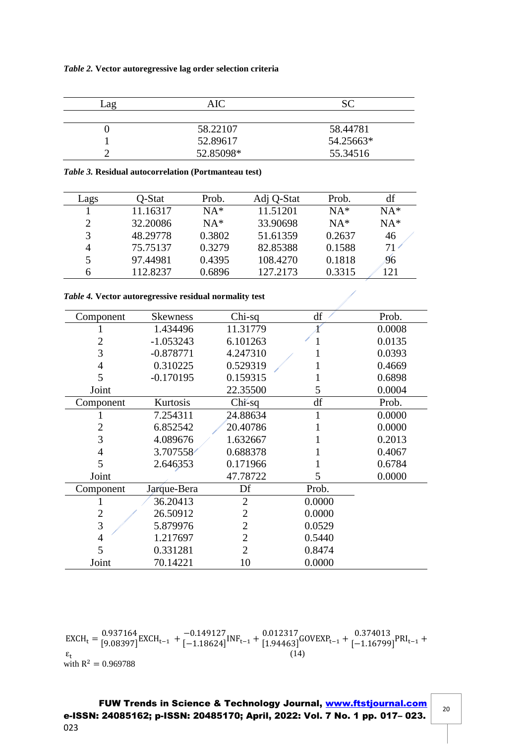|  | Table 2. Vector autoregressive lag order selection criteria |  |  |
|--|-------------------------------------------------------------|--|--|
|  |                                                             |  |  |

| -ag | AIC       | SС        |
|-----|-----------|-----------|
|     |           |           |
|     | 58.22107  | 58.44781  |
|     | 52.89617  | 54.25663* |
|     | 52.85098* | 55.34516  |

*Table 3.* **Residual autocorrelation (Portmanteau test)**

| Lags          | O-Stat   | Prob.  | Adj Q-Stat | Prob.  | df    |
|---------------|----------|--------|------------|--------|-------|
|               | 11.16317 | $NA*$  | 11.51201   | $NA*$  | $NA*$ |
| $\mathcal{D}$ | 32.20086 | $NA*$  | 33.90698   | $NA*$  | $NA*$ |
| 3             | 48.29778 | 0.3802 | 51.61359   | 0.2637 | 46    |
| 4             | 75.75137 | 0.3279 | 82.85388   | 0.1588 | 71.   |
|               | 97.44981 | 0.4395 | 108.4270   | 0.1818 | 96    |
| 6             | 112.8237 | 0.6896 | 127.2173   | 0.3315 | 121   |

*Table 4.* **Vector autoregressive residual normality test**

| Component      | <b>Skewness</b> | Chi-sq         | df     | Prob.  |
|----------------|-----------------|----------------|--------|--------|
|                | 1.434496        | 11.31779       |        | 0.0008 |
| 2              | $-1.053243$     | 6.101263       |        | 0.0135 |
| 3              | $-0.878771$     | 4.247310       |        | 0.0393 |
| 4              | 0.310225        | 0.529319       |        | 0.4669 |
| 5              | $-0.170195$     | 0.159315       |        | 0.6898 |
| Joint          |                 | 22.35500       | 5      | 0.0004 |
| Component      | Kurtosis        | $Chi$ -sq      | df     | Prob.  |
|                | 7.254311        | 24.88634       |        | 0.0000 |
| $\overline{2}$ | 6.852542        | 20.40786       |        | 0.0000 |
| 3              | 4.089676        | 1.632667       |        | 0.2013 |
| 4              | 3.707558        | 0.688378       |        | 0.4067 |
| 5              | 2.646353        | 0.171966       |        | 0.6784 |
| Joint          |                 | 47.78722       | 5      | 0.0000 |
| Component      | Jarque-Bera     | Df             | Prob.  |        |
|                | 36.20413        | $\overline{2}$ | 0.0000 |        |
| $\overline{2}$ | 26.50912        | $\overline{2}$ | 0.0000 |        |
| 3              | 5.879976        | $\overline{2}$ | 0.0529 |        |
| 4              | 1.217697        | $\overline{2}$ | 0.5440 |        |
| 5              | 0.331281        | 2              | 0.8474 |        |
| Joint          | 70.14221        | 10             | 0.0000 |        |

 $EXCH_t = \frac{0.937164}{[9.08397]}$ 0.937164<br>[9.08397] EXCH<sub>t−1</sub> +  $_{[-1.18624]}$  $[-1.18624]^{INF_{t-1}} + \frac{0.012317}{[1.94463]}$ 0.012317<br>[1.94463]<sup>GOVEXP</sup>t-1 + [-1.16799]  $[-1.16799]$ <sup>PRI</sup>t-1<sup>+</sup>  $\boldsymbol{\epsilon}_t$  $(14)$ with  $R^2 = 0.969788$ 

FUW Trends in Science & Technology Journal, [www.ftstjournal.com](http://www.ftstjournal.com/) e-ISSN: 24085162; p-ISSN: 20485170; April, 2022: Vol. 7 No. 1 pp. 017– 023. 023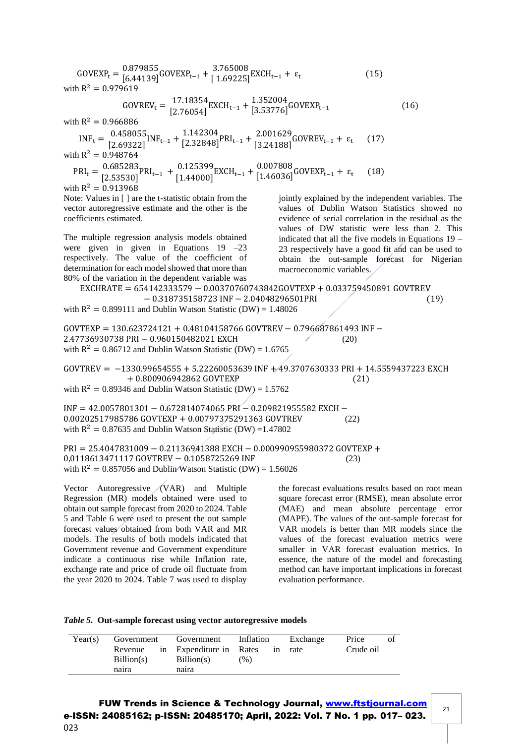$GOVEXP_t = \frac{0.879855}{[6.44139]}$  $[6.44139]$ GOVEXP<sub>t−1</sub> +  $[1.69225]$  $\frac{1.69225}{1.69225}$  EXCH<sub>t−1</sub> + ε<sub>t</sub> (15) with  $R^2 = 0.979619$  $GOVREV_t = \frac{17.18354}{[2.76054]}$  $[2.76054]$ EXCH<sub>t−1</sub> +  $[3.53776]$  $[3.53776]$ <sup>GOVEXP<sub>t−1</sub> (16)</sup> with  $R^2 = 0.966886$  $INF_t = \frac{0.458055}{2.69333}$  $[0.458055]$ <sub>INF<sub>t-1</sub> +  $[1.142304]$ <br>[2.69322]</sub>  $[2.32848]$ <sup>PRI</sup>t<sup>-1</sub> + 2.001629</sup><br>[2.32848]<sup>PRI</sup>t<sup>-1</sup> [3.24188]  $2.00102$  GOVREV<sub>t−1</sub> + ε<sub>t</sub> (17)<br>[3.24188] with  $R^2 = 0.948764$  $PRI_t = \frac{0.685283}{5253201}$  $(0.685283_{\text{PRI}_{t-1}} + 0.125399)$ <br>[2.53530] [1.44000]  $[1.44000]$  EXCH<sub>t-1</sub> +  $[1.46036]$  $(1.46036)^{\text{GOVEXP}_{t-1} + \epsilon_t}$  (18) with  $R^2 = 0.913968$ Note: Values in [ ] are the t-statistic obtain from the vector autoregressive estimate and the other is the coefficients estimated. The multiple regression analysis models obtained were given in given in Equations 19 –23 respectively. The value of the coefficient of determination for each model showed that more than 80% of the variation in the dependent variable was jointly explained by the independent variables. The values of Dublin Watson Statistics showed no evidence of serial correlation in the residual as the values of DW statistic were less than 2. This indicated that all the five models in Equations  $19 -$ 23 respectively have a good fit and can be used to obtain the out-sample forecast for Nigerian macroeconomic variables. EXCHRATE = 654142333579 − 0.00370760743842GOVTEXP + 0.033759450891 GOVTREV −0.318735158723 INF−2.04048296501PRI (19) with  $R^2 = 0.899111$  and Dublin Watson Statistic (DW) = 1.48026 GOVTEXP =  $130.623724121 + 0.48104158766$  GOVTREV – 0.796687861493 INF – 2.47736930738 PRI − 0.960150482021 EXCH (20) with  $R^2 = 0.86712$  and Dublin Watson Statistic (DW) = 1.6765 GOVTREV = −1330.99654555 +5.22260053639 INF+ 49.3707630333 PRI + 14.5559437223 EXCH + 0.800906942862 GOVTEXP (21) with  $R^2 = 0.89346$  and Dublin Watson Statistic (DW) = 1.5762 INF = 42.0057801301 − 0.672814074065 PRI − 0.209821955582 EXCH − 0.00202517985786 GOVTEXP + 0.00797375291363 GOVTREV (22) with  $R^2 = 0.87635$  and Dublin Watson Statistic (DW) = 1.47802 PRI = 25.4047831009 − 0.21136941388 EXCH − 0.000990955980372 GOVTEXP + 0,0118613471117 GOVTREV − 0.1058725269 INF (23) with  $R^2 = 0.857056$  and Dublin Watson Statistic (DW) = 1.56026 Vector Autoregressive (VAR) and Multiple Regression (MR) models obtained were used to obtain out sample forecast from 2020 to 2024. Table 5 and Table 6 were used to present the out sample the forecast evaluations results based on root mean square forecast error (RMSE), mean absolute error (MAE) and mean absolute percentage error (MAPE). The values of the out-sample forecast for

forecast values obtained from both VAR and MR models. The results of both models indicated that Government revenue and Government expenditure indicate a continuous rise while Inflation rate, exchange rate and price of crude oil fluctuate from the year 2020 to 2024. Table 7 was used to display

VAR models is better than MR models since the values of the forecast evaluation metrics were smaller in VAR forecast evaluation metrics. In essence, the nature of the model and forecasting method can have important implications in forecast evaluation performance.

| Table 5. Out-sample forecast using vector autoregressive models |  |  |
|-----------------------------------------------------------------|--|--|

| Year(s) | Government                     |  | Government                                     | Inflation | Exchange | Price     | οt |
|---------|--------------------------------|--|------------------------------------------------|-----------|----------|-----------|----|
|         | Revenue<br>Billion(s)<br>naira |  | in Expenditure in Rates<br>Billion(s)<br>naira | (% )      | in rate  | Crude oil |    |

FUW Trends in Science & Technology Journal, [www.ftstjournal.com](http://www.ftstjournal.com/) e-ISSN: 24085162; p-ISSN: 20485170; April, 2022: Vol. 7 No. 1 pp. 017– 023. 023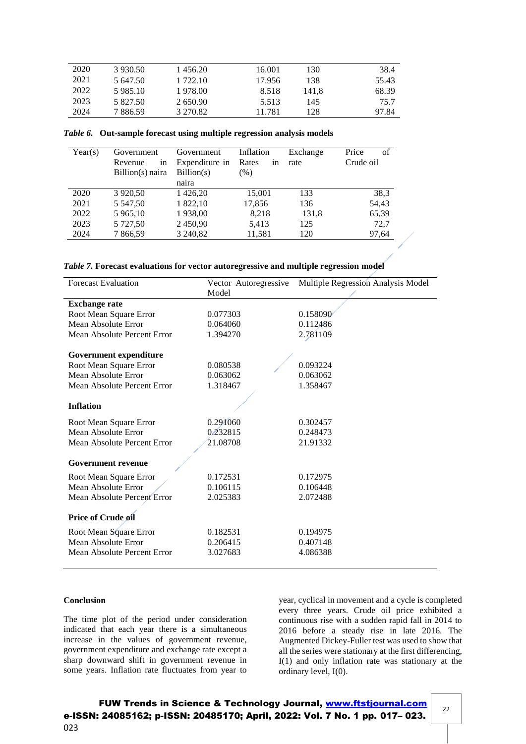| 2020 | 3 930.50 | 1456.20  | 16.001 | 130   | 38.4  |
|------|----------|----------|--------|-------|-------|
| 2021 | 5 647.50 | 1 722.10 | 17.956 | 138   | 55.43 |
| 2022 | 5985.10  | 1978.00  | 8.518  | 141.8 | 68.39 |
| 2023 | 5 827.50 | 2650.90  | 5.513  | 145   | 75.7  |
| 2024 | 7886.59  | 3 270.82 | 11.781 | 128   | 97.84 |

|  | Table 6. Out-sample forecast using multiple regression analysis models |  |  |  |
|--|------------------------------------------------------------------------|--|--|--|
|  |                                                                        |  |  |  |

| Year(s) | Government<br>Revenue<br>1n<br>Billion(s) naira | Government<br>Expenditure in<br>Billion(s)<br>naira | Inflation<br>Rates<br>in<br>$(\% )$ | Exchange<br>rate | Price<br>of<br>Crude oil |
|---------|-------------------------------------------------|-----------------------------------------------------|-------------------------------------|------------------|--------------------------|
| 2020    | 3 9 20, 50                                      | 1426,20                                             | 15,001                              | 133              | 38,3                     |
| 2021    | 5 5 4 7, 5 0                                    | 1 822,10                                            | 17,856                              | 136              | 54,43                    |
| 2022    | 5 965,10                                        | 1938,00                                             | 8.218                               | 131,8            | 65,39                    |
| 2023    | 5 727,50                                        | 2450,90                                             | 5,413                               | 125              | 72,7                     |
| 2024    | 7866,59                                         | 3 240,82                                            | 11,581                              | 120              | 97,64                    |

|  |  | Table 7. Forecast evaluations for vector autoregressive and multiple regression model |  |  |
|--|--|---------------------------------------------------------------------------------------|--|--|
|  |  |                                                                                       |  |  |

| <b>Forecast Evaluation</b>  | Vector Autoregressive | Multiple Regression Analysis Model |
|-----------------------------|-----------------------|------------------------------------|
|                             | Model                 |                                    |
| <b>Exchange rate</b>        |                       |                                    |
| Root Mean Square Error      | 0.077303              | 0.158090                           |
| Mean Absolute Error         | 0.064060              | 0.112486                           |
| Mean Absolute Percent Error | 1.394270              | 2.781109                           |
| Government expenditure      |                       |                                    |
| Root Mean Square Error      | 0.080538              | 0.093224                           |
| Mean Absolute Error         | 0.063062              | 0.063062                           |
| Mean Absolute Percent Error | 1.318467              | 1.358467                           |
|                             |                       |                                    |
| <b>Inflation</b>            |                       |                                    |
| Root Mean Square Error      | 0.291060              | 0.302457                           |
| Mean Absolute Error         | 0.232815              | 0.248473                           |
| Mean Absolute Percent Error | 21.08708              | 21.91332                           |
|                             |                       |                                    |
| <b>Government revenue</b>   |                       |                                    |
| Root Mean Square Error      | 0.172531              | 0.172975                           |
| Mean Absolute Error         | 0.106115              | 0.106448                           |
| Mean Absolute Percent Error | 2.025383              | 2.072488                           |
|                             |                       |                                    |
| <b>Price of Crude oil</b>   |                       |                                    |
| Root Mean Square Error      | 0.182531              | 0.194975                           |
| Mean Absolute Error         | 0.206415              | 0.407148                           |
| Mean Absolute Percent Error | 3.027683              | 4.086388                           |
|                             |                       |                                    |

## **Conclusion**

The time plot of the period under consideration indicated that each year there is a simultaneous increase in the values of government revenue, government expenditure and exchange rate except a sharp downward shift in government revenue in some years. Inflation rate fluctuates from year to year, cyclical in movement and a cycle is completed every three years. Crude oil price exhibited a continuous rise with a sudden rapid fall in 2014 to 2016 before a steady rise in late 2016. The Augmented Dickey-Fuller test was used to show that all the series were stationary at the first differencing, I(1) and only inflation rate was stationary at the ordinary level, I(0).